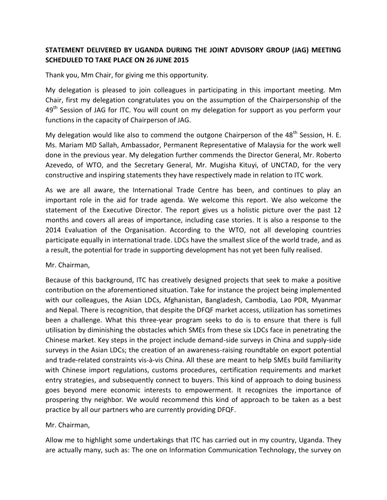## **STATEMENT DELIVERED BY UGANDA DURING THE JOINT ADVISORY GROUP (JAG) MEETING SCHEDULED TO TAKE PLACE ON 26 JUNE 2015**

Thank you, Mm Chair, for giving me this opportunity.

My delegation is pleased to join colleagues in participating in this important meeting. Mm Chair, first my delegation congratulates you on the assumption of the Chairpersonship of the 49<sup>th</sup> Session of JAG for ITC. You will count on my delegation for support as you perform your functions in the capacity of Chairperson of JAG.

My delegation would like also to commend the outgone Chairperson of the  $48^{th}$  Session, H. E. Ms. Mariam MD Sallah, Ambassador, Permanent Representative of Malaysia for the work well done in the previous year. My delegation further commends the Director General, Mr. Roberto Azevedo, of WTO, and the Secretary General, Mr. Mugisha Kituyi, of UNCTAD, for the very constructive and inspiring statements they have respectively made in relation to ITC work.

As we are all aware, the International Trade Centre has been, and continues to play an important role in the aid for trade agenda. We welcome this report. We also welcome the statement of the Executive Director. The report gives us a holistic picture over the past 12 months and covers all areas of importance, including case stories. It is also a response to the 2014 Evaluation of the Organisation. According to the WTO, not all developing countries participate equally in international trade. LDCs have the smallest slice of the world trade, and as a result, the potential for trade in supporting development has not yet been fully realised.

Mr. Chairman,

Because of this background, ITC has creatively designed projects that seek to make a positive contribution on the aforementioned situation. Take for instance the project being implemented with our colleagues, the Asian LDCs, Afghanistan, Bangladesh, Cambodia, Lao PDR, Myanmar and Nepal. There is recognition, that despite the DFQF market access, utilization has sometimes been a challenge. What this three-year program seeks to do is to ensure that there is full utilisation by diminishing the obstacles which SMEs from these six LDCs face in penetrating the Chinese market. Key steps in the project include demand-side surveys in China and supply-side surveys in the Asian LDCs; the creation of an awareness-raising roundtable on export potential and trade-related constraints vis-à-vis China. All these are meant to help SMEs build familiarity with Chinese import regulations, customs procedures, certification requirements and market entry strategies, and subsequently connect to buyers. This kind of approach to doing business goes beyond mere economic interests to empowerment. It recognizes the importance of prospering thy neighbor. We would recommend this kind of approach to be taken as a best practice by all our partners who are currently providing DFQF.

## Mr. Chairman,

Allow me to highlight some undertakings that ITC has carried out in my country, Uganda. They are actually many, such as: The one on Information Communication Technology, the survey on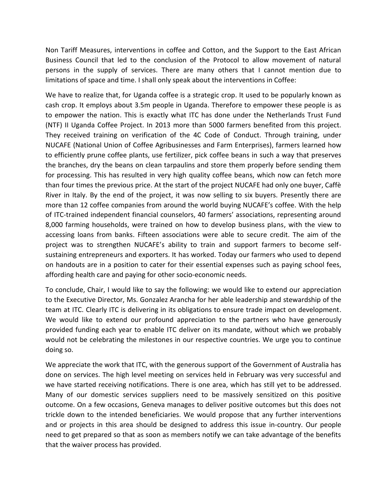Non Tariff Measures, interventions in coffee and Cotton, and the Support to the East African Business Council that led to the conclusion of the Protocol to allow movement of natural persons in the supply of services. There are many others that I cannot mention due to limitations of space and time. I shall only speak about the interventions in Coffee:

We have to realize that, for Uganda coffee is a strategic crop. It used to be popularly known as cash crop. It employs about 3.5m people in Uganda. Therefore to empower these people is as to empower the nation. This is exactly what ITC has done under the Netherlands Trust Fund (NTF) II Uganda Coffee Project. In 2013 more than 5000 farmers benefited from this project. They received training on verification of the 4C Code of Conduct. Through training, under NUCAFE (National Union of Coffee Agribusinesses and Farm Enterprises), farmers learned how to efficiently prune coffee plants, use fertilizer, pick coffee beans in such a way that preserves the branches, dry the beans on clean tarpaulins and store them properly before sending them for processing. This has resulted in very high quality coffee beans, which now can fetch more than four times the previous price. At the start of the project NUCAFE had only one buyer, Caffè River in Italy. By the end of the project, it was now selling to six buyers. Presently there are more than 12 coffee companies from around the world buying NUCAFE's coffee. With the help of ITC-trained independent financial counselors, 40 farmers' associations, representing around 8,000 farming households, were trained on how to develop business plans, with the view to accessing loans from banks. Fifteen associations were able to secure credit. The aim of the project was to strengthen NUCAFE's ability to train and support farmers to become selfsustaining entrepreneurs and exporters. It has worked. Today our farmers who used to depend on handouts are in a position to cater for their essential expenses such as paying school fees, affording health care and paying for other socio-economic needs.

To conclude, Chair, I would like to say the following: we would like to extend our appreciation to the Executive Director, Ms. Gonzalez Arancha for her able leadership and stewardship of the team at ITC. Clearly ITC is delivering in its obligations to ensure trade impact on development. We would like to extend our profound appreciation to the partners who have generously provided funding each year to enable ITC deliver on its mandate, without which we probably would not be celebrating the milestones in our respective countries. We urge you to continue doing so.

We appreciate the work that ITC, with the generous support of the Government of Australia has done on services. The high level meeting on services held in February was very successful and we have started receiving notifications. There is one area, which has still yet to be addressed. Many of our domestic services suppliers need to be massively sensitized on this positive outcome. On a few occasions, Geneva manages to deliver positive outcomes but this does not trickle down to the intended beneficiaries. We would propose that any further interventions and or projects in this area should be designed to address this issue in-country. Our people need to get prepared so that as soon as members notify we can take advantage of the benefits that the waiver process has provided.